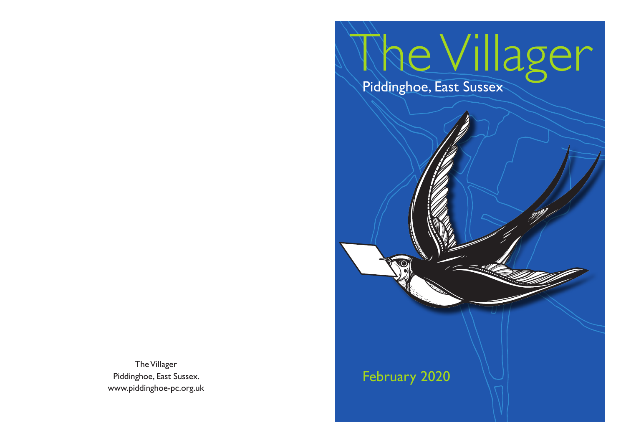# The Villager Piddinghoe, East Sussex

## February 2020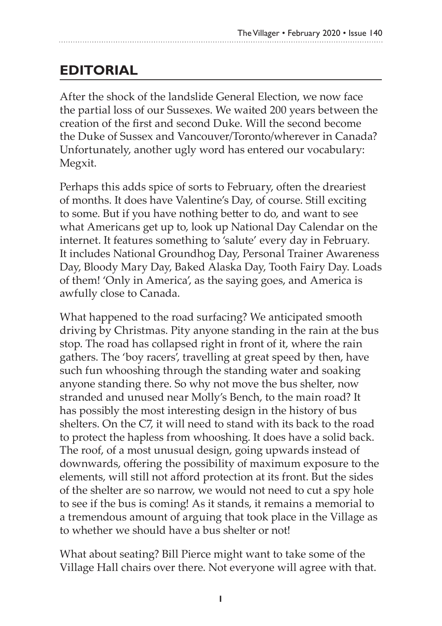## **EDITORIAL**

After the shock of the landslide General Election, we now face the partial loss of our Sussexes. We waited 200 years between the creation of the first and second Duke. Will the second become the Duke of Sussex and Vancouver/Toronto/wherever in Canada? Unfortunately, another ugly word has entered our vocabulary: Megxit.

Perhaps this adds spice of sorts to February, often the dreariest of months. It does have Valentine's Day, of course. Still exciting to some. But if you have nothing better to do, and want to see what Americans get up to, look up National Day Calendar on the internet. It features something to 'salute' every day in February. It includes National Groundhog Day, Personal Trainer Awareness Day, Bloody Mary Day, Baked Alaska Day, Tooth Fairy Day. Loads of them! 'Only in America', as the saying goes, and America is awfully close to Canada.

What happened to the road surfacing? We anticipated smooth driving by Christmas. Pity anyone standing in the rain at the bus stop. The road has collapsed right in front of it, where the rain gathers. The 'boy racers', travelling at great speed by then, have such fun whooshing through the standing water and soaking anyone standing there. So why not move the bus shelter, now stranded and unused near Molly's Bench, to the main road? It has possibly the most interesting design in the history of bus shelters. On the C7, it will need to stand with its back to the road to protect the hapless from whooshing. It does have a solid back. The roof, of a most unusual design, going upwards instead of downwards, offering the possibility of maximum exposure to the elements, will still not afford protection at its front. But the sides of the shelter are so narrow, we would not need to cut a spy hole to see if the bus is coming! As it stands, it remains a memorial to a tremendous amount of arguing that took place in the Village as to whether we should have a bus shelter or not!

What about seating? Bill Pierce might want to take some of the Village Hall chairs over there. Not everyone will agree with that.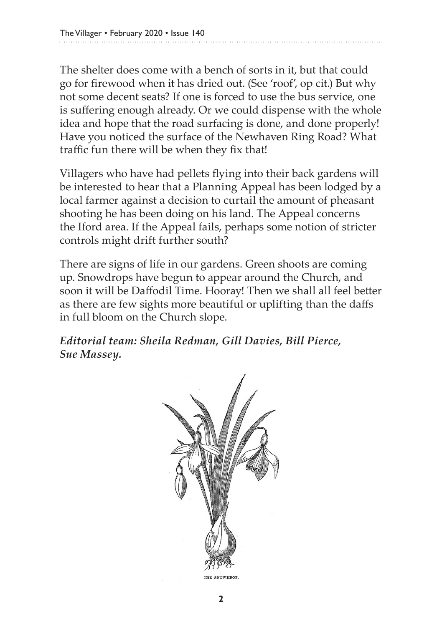The shelter does come with a bench of sorts in it, but that could go for firewood when it has dried out. (See 'roof', op cit.) But why not some decent seats? If one is forced to use the bus service, one is suffering enough already. Or we could dispense with the whole idea and hope that the road surfacing is done, and done properly! Have you noticed the surface of the Newhaven Ring Road? What traffic fun there will be when they fix that!

Villagers who have had pellets flying into their back gardens will be interested to hear that a Planning Appeal has been lodged by a local farmer against a decision to curtail the amount of pheasant shooting he has been doing on his land. The Appeal concerns the Iford area. If the Appeal fails, perhaps some notion of stricter controls might drift further south?

There are signs of life in our gardens. Green shoots are coming up. Snowdrops have begun to appear around the Church, and soon it will be Daffodil Time. Hooray! Then we shall all feel better as there are few sights more beautiful or uplifting than the daffs in full bloom on the Church slope.

*Editorial team: Sheila Redman, Gill Davies, Bill Pierce, Sue Massey.* 

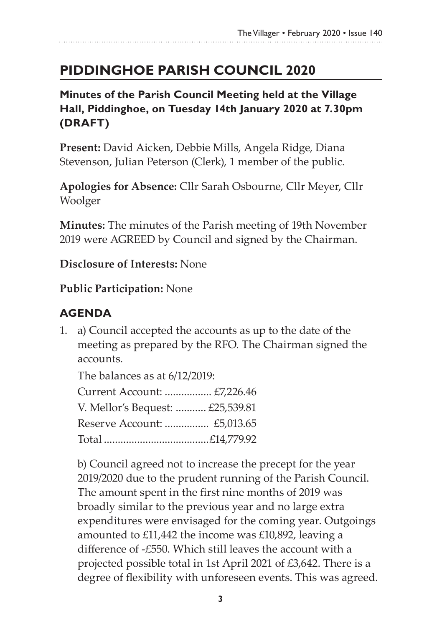## **Piddinghoe Parish Council 2020**

**Minutes of the Parish Council Meeting held at the Village Hall, Piddinghoe, on Tuesday 14th January 2020 at 7.30pm (DRAFT)**

**Present:** David Aicken, Debbie Mills, Angela Ridge, Diana Stevenson, Julian Peterson (Clerk), 1 member of the public.

**Apologies for Absence:** Cllr Sarah Osbourne, Cllr Meyer, Cllr Woolger

**Minutes:** The minutes of the Parish meeting of 19th November 2019 were AGREED by Council and signed by the Chairman.

**Disclosure of Interests:** None

#### **Public Participation:** None

#### **AGENDA**

1. a) Council accepted the accounts as up to the date of the meeting as prepared by the RFO. The Chairman signed the accounts.

The balances as at 6/12/2019: Current Account: ................. £7,226.46 V. Mellor's Bequest: ........... £25,539.81 Reserve Account: ................ £5,013.65 Total ......................................£14,779.92

b) Council agreed not to increase the precept for the year 2019/2020 due to the prudent running of the Parish Council. The amount spent in the first nine months of 2019 was broadly similar to the previous year and no large extra expenditures were envisaged for the coming year. Outgoings amounted to £11,442 the income was £10,892, leaving a difference of -£550. Which still leaves the account with a projected possible total in 1st April 2021 of £3,642. There is a degree of flexibility with unforeseen events. This was agreed.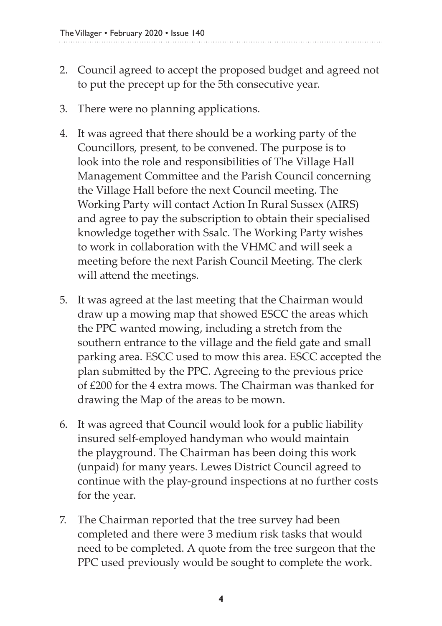- 2. Council agreed to accept the proposed budget and agreed not to put the precept up for the 5th consecutive year.
- 3. There were no planning applications.
- 4. It was agreed that there should be a working party of the Councillors, present, to be convened. The purpose is to look into the role and responsibilities of The Village Hall Management Committee and the Parish Council concerning the Village Hall before the next Council meeting. The Working Party will contact Action In Rural Sussex (AIRS) and agree to pay the subscription to obtain their specialised knowledge together with Ssalc. The Working Party wishes to work in collaboration with the VHMC and will seek a meeting before the next Parish Council Meeting. The clerk will attend the meetings.
- 5. It was agreed at the last meeting that the Chairman would draw up a mowing map that showed ESCC the areas which the PPC wanted mowing, including a stretch from the southern entrance to the village and the field gate and small parking area. ESCC used to mow this area. ESCC accepted the plan submitted by the PPC. Agreeing to the previous price of £200 for the 4 extra mows. The Chairman was thanked for drawing the Map of the areas to be mown.
- 6. It was agreed that Council would look for a public liability insured self-employed handyman who would maintain the playground. The Chairman has been doing this work (unpaid) for many years. Lewes District Council agreed to continue with the play-ground inspections at no further costs for the year.
- 7. The Chairman reported that the tree survey had been completed and there were 3 medium risk tasks that would need to be completed. A quote from the tree surgeon that the PPC used previously would be sought to complete the work.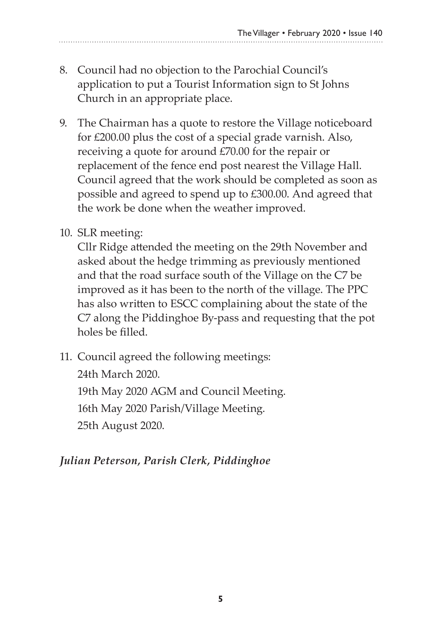- 8. Council had no objection to the Parochial Council's application to put a Tourist Information sign to St Johns Church in an appropriate place.
- 9. The Chairman has a quote to restore the Village noticeboard for £200.00 plus the cost of a special grade varnish. Also, receiving a quote for around £70.00 for the repair or replacement of the fence end post nearest the Village Hall. Council agreed that the work should be completed as soon as possible and agreed to spend up to £300.00. And agreed that the work be done when the weather improved.
- 10. SLR meeting:

Cllr Ridge attended the meeting on the 29th November and asked about the hedge trimming as previously mentioned and that the road surface south of the Village on the C7 be improved as it has been to the north of the village. The PPC has also written to ESCC complaining about the state of the C7 along the Piddinghoe By-pass and requesting that the pot holes be filled.

11. Council agreed the following meetings: 24th March 2020. 19th May 2020 AGM and Council Meeting. 16th May 2020 Parish/Village Meeting. 25th August 2020.

#### *Julian Peterson, Parish Clerk, Piddinghoe*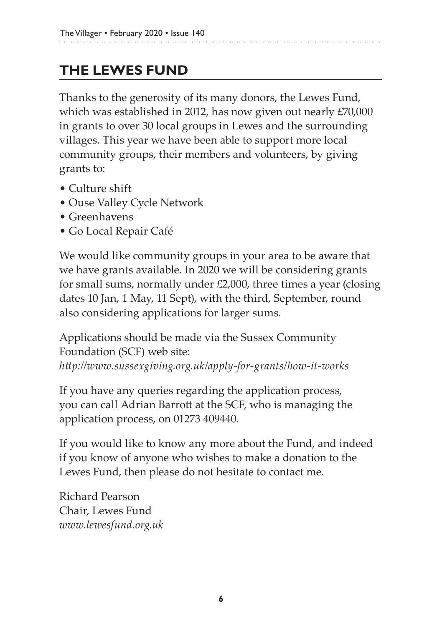## **THE LEWES FUND**

Thanks to the generosity of its many donors, the Lewes Fund, which was established in 2012, has now given out nearly £70,000 in grants to over 30 local groups in Lewes and the surrounding villages. This year we have been able to support more local community groups, their members and volunteers, by giving grants to:

- Culture shift
- Ouse Valley Cycle Network
- Greenhavens
- Go Local Repair Café

We would like community groups in your area to be aware that we have grants available. In 2020 we will be considering grants for small sums, normally under £2,000, three times a year (closing dates 10 Jan, 1 May, 11 Sept), with the third, September, round also considering applications for larger sums.

Applications should be made via the Sussex Community Foundation (SCF) web site:

*http://www.sussexgiving.org.uk/apply-for-grants/how-it-works*

If you have any queries regarding the application process, you can call Adrian Barrott at the SCF, who is managing the application process, on 01273 409440.

If you would like to know any more about the Fund, and indeed if you know of anyone who wishes to make a donation to the Lewes Fund, then please do not hesitate to contact me.

Richard Pearson Chair, Lewes Fund *www.lewesfund.org.uk*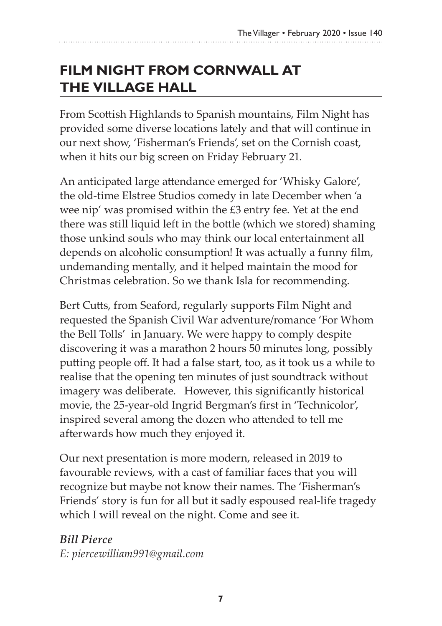## **FILM NIGHT FROM CORNWALL AT the VILLAGE HALL**

From Scottish Highlands to Spanish mountains, Film Night has provided some diverse locations lately and that will continue in our next show, 'Fisherman's Friends', set on the Cornish coast, when it hits our big screen on Friday February 21.

An anticipated large attendance emerged for 'Whisky Galore', the old-time Elstree Studios comedy in late December when 'a wee nip' was promised within the £3 entry fee. Yet at the end there was still liquid left in the bottle (which we stored) shaming those unkind souls who may think our local entertainment all depends on alcoholic consumption! It was actually a funny film, undemanding mentally, and it helped maintain the mood for Christmas celebration. So we thank Isla for recommending.

Bert Cutts, from Seaford, regularly supports Film Night and requested the Spanish Civil War adventure/romance 'For Whom the Bell Tolls' in January. We were happy to comply despite discovering it was a marathon 2 hours 50 minutes long, possibly putting people off. It had a false start, too, as it took us a while to realise that the opening ten minutes of just soundtrack without imagery was deliberate. However, this significantly historical movie, the 25-year-old Ingrid Bergman's first in 'Technicolor', inspired several among the dozen who attended to tell me afterwards how much they enjoyed it.

Our next presentation is more modern, released in 2019 to favourable reviews, with a cast of familiar faces that you will recognize but maybe not know their names. The 'Fisherman's Friends' story is fun for all but it sadly espoused real-life tragedy which I will reveal on the night. Come and see it.

*Bill Pierce* 

*E: piercewilliam991@gmail.com*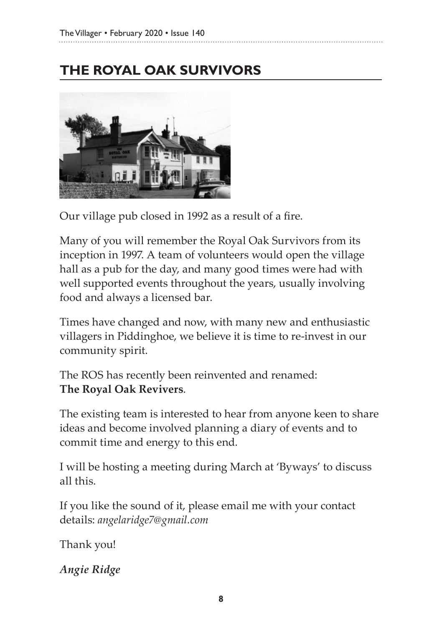## **THE ROYAL OAK SURVIVORS**



Our village pub closed in 1992 as a result of a fire.

Many of you will remember the Royal Oak Survivors from its inception in 1997. A team of volunteers would open the village hall as a pub for the day, and many good times were had with well supported events throughout the years, usually involving food and always a licensed bar.

Times have changed and now, with many new and enthusiastic villagers in Piddinghoe, we believe it is time to re-invest in our community spirit.

The ROS has recently been reinvented and renamed: **The Royal Oak Revivers**.

The existing team is interested to hear from anyone keen to share ideas and become involved planning a diary of events and to commit time and energy to this end.

I will be hosting a meeting during March at 'Byways' to discuss all this.

If you like the sound of it, please email me with your contact details: *angelaridge7@gmail.com*

Thank you!

*Angie Ridge*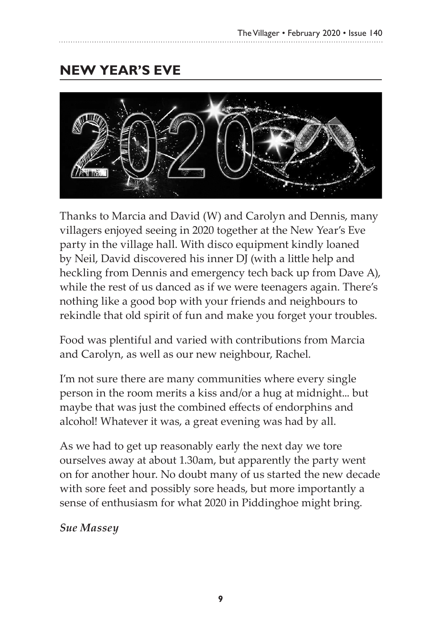## **New Year's Eve**



Thanks to Marcia and David (W) and Carolyn and Dennis, many villagers enjoyed seeing in 2020 together at the New Year's Eve party in the village hall. With disco equipment kindly loaned by Neil, David discovered his inner DJ (with a little help and heckling from Dennis and emergency tech back up from Dave A), while the rest of us danced as if we were teenagers again. There's nothing like a good bop with your friends and neighbours to rekindle that old spirit of fun and make you forget your troubles.

Food was plentiful and varied with contributions from Marcia and Carolyn, as well as our new neighbour, Rachel.

I'm not sure there are many communities where every single person in the room merits a kiss and/or a hug at midnight... but maybe that was just the combined effects of endorphins and alcohol! Whatever it was, a great evening was had by all.

As we had to get up reasonably early the next day we tore ourselves away at about 1.30am, but apparently the party went on for another hour. No doubt many of us started the new decade with sore feet and possibly sore heads, but more importantly a sense of enthusiasm for what 2020 in Piddinghoe might bring.

#### *Sue Massey*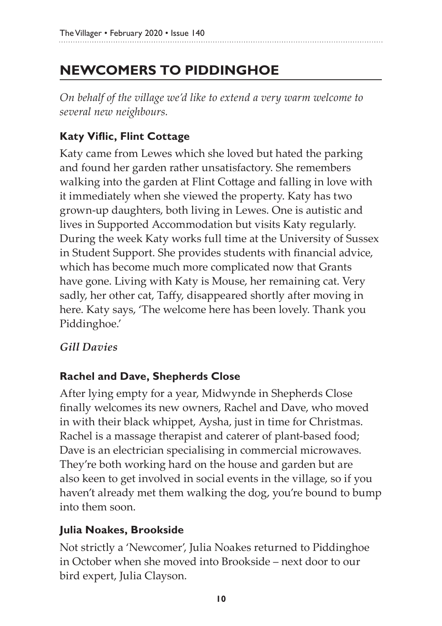## **NEWCOMERS TO PIDDINGHOE**

*On behalf of the village we'd like to extend a very warm welcome to several new neighbours.*

#### **Katy Viflic, Flint Cottage**

Katy came from Lewes which she loved but hated the parking and found her garden rather unsatisfactory. She remembers walking into the garden at Flint Cottage and falling in love with it immediately when she viewed the property. Katy has two grown-up daughters, both living in Lewes. One is autistic and lives in Supported Accommodation but visits Katy regularly. During the week Katy works full time at the University of Sussex in Student Support. She provides students with financial advice, which has become much more complicated now that Grants have gone. Living with Katy is Mouse, her remaining cat. Very sadly, her other cat, Taffy, disappeared shortly after moving in here. Katy says, 'The welcome here has been lovely. Thank you Piddinghoe.'

#### *Gill Davies*

#### **Rachel and Dave, Shepherds Close**

After lying empty for a year, Midwynde in Shepherds Close finally welcomes its new owners, Rachel and Dave, who moved in with their black whippet, Aysha, just in time for Christmas. Rachel is a massage therapist and caterer of plant-based food; Dave is an electrician specialising in commercial microwaves. They're both working hard on the house and garden but are also keen to get involved in social events in the village, so if you haven't already met them walking the dog, you're bound to bump into them soon.

#### **Julia Noakes, Brookside**

Not strictly a 'Newcomer', Julia Noakes returned to Piddinghoe in October when she moved into Brookside – next door to our bird expert, Julia Clayson.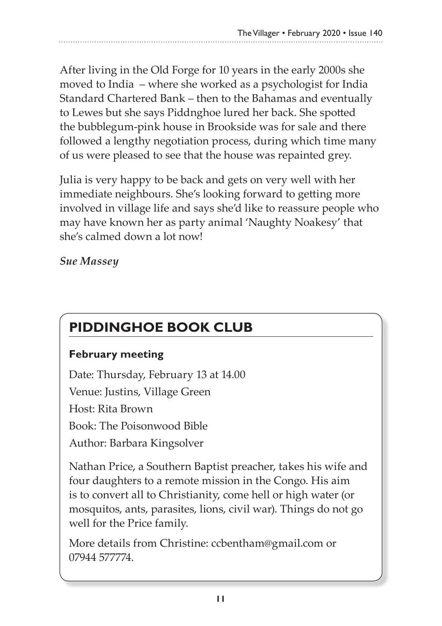After living in the Old Forge for 10 years in the early 2000s she moved to India – where she worked as a psychologist for India Standard Chartered Bank – then to the Bahamas and eventually to Lewes but she says Piddnghoe lured her back. She spotted the bubblegum-pink house in Brookside was for sale and there followed a lengthy negotiation process, during which time many of us were pleased to see that the house was repainted grey.

Julia is very happy to be back and gets on very well with her immediate neighbours. She's looking forward to getting more involved in village life and says she'd like to reassure people who may have known her as party animal 'Naughty Noakesy' that she's calmed down a lot now!

*Sue Massey*

## **PIDDINGHOE BOOK CLUB**

#### **February meeting**

Date: Thursday, February 13 at 14.00 Venue: Justins, Village Green Host: Rita Brown Book: The Poisonwood Bible Author: Barbara Kingsolver

Nathan Price, a Southern Baptist preacher, takes his wife and four daughters to a remote mission in the Congo. His aim is to convert all to Christianity, come hell or high water (or mosquitos, ants, parasites, lions, civil war). Things do not go well for the Price family.

More details from Christine: ccbentham@gmail.com or 07944 577774.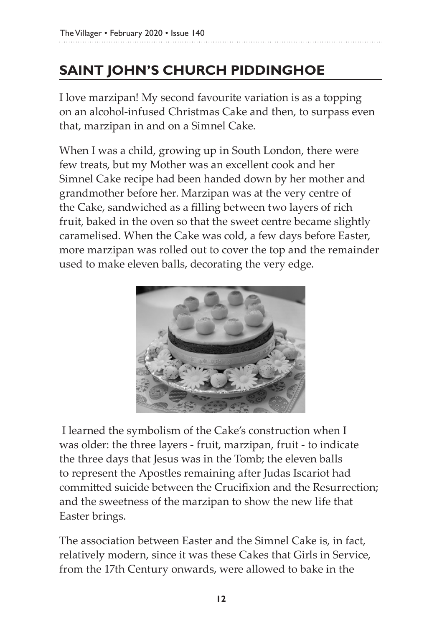## **SAINT JOHN'S CHURCH PIDDINGHOE**

I love marzipan! My second favourite variation is as a topping on an alcohol-infused Christmas Cake and then, to surpass even that, marzipan in and on a Simnel Cake.

When I was a child, growing up in South London, there were few treats, but my Mother was an excellent cook and her Simnel Cake recipe had been handed down by her mother and grandmother before her. Marzipan was at the very centre of the Cake, sandwiched as a filling between two layers of rich fruit, baked in the oven so that the sweet centre became slightly caramelised. When the Cake was cold, a few days before Easter, more marzipan was rolled out to cover the top and the remainder used to make eleven balls, decorating the very edge.



 I learned the symbolism of the Cake's construction when I was older: the three layers - fruit, marzipan, fruit - to indicate the three days that Jesus was in the Tomb; the eleven balls to represent the Apostles remaining after Judas Iscariot had committed suicide between the Crucifixion and the Resurrection; and the sweetness of the marzipan to show the new life that Easter brings.

The association between Easter and the Simnel Cake is, in fact, relatively modern, since it was these Cakes that Girls in Service, from the 17th Century onwards, were allowed to bake in the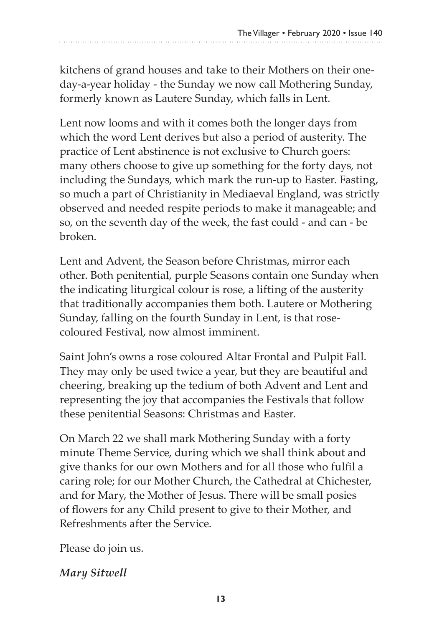kitchens of grand houses and take to their Mothers on their oneday-a-year holiday - the Sunday we now call Mothering Sunday, formerly known as Lautere Sunday, which falls in Lent.

Lent now looms and with it comes both the longer days from which the word Lent derives but also a period of austerity. The practice of Lent abstinence is not exclusive to Church goers: many others choose to give up something for the forty days, not including the Sundays, which mark the run-up to Easter. Fasting, so much a part of Christianity in Mediaeval England, was strictly observed and needed respite periods to make it manageable; and so, on the seventh day of the week, the fast could - and can - be broken.

Lent and Advent, the Season before Christmas, mirror each other. Both penitential, purple Seasons contain one Sunday when the indicating liturgical colour is rose, a lifting of the austerity that traditionally accompanies them both. Lautere or Mothering Sunday, falling on the fourth Sunday in Lent, is that rosecoloured Festival, now almost imminent.

Saint John's owns a rose coloured Altar Frontal and Pulpit Fall. They may only be used twice a year, but they are beautiful and cheering, breaking up the tedium of both Advent and Lent and representing the joy that accompanies the Festivals that follow these penitential Seasons: Christmas and Easter.

On March 22 we shall mark Mothering Sunday with a forty minute Theme Service, during which we shall think about and give thanks for our own Mothers and for all those who fulfil a caring role; for our Mother Church, the Cathedral at Chichester, and for Mary, the Mother of Jesus. There will be small posies of flowers for any Child present to give to their Mother, and Refreshments after the Service.

Please do join us.

*Mary Sitwell*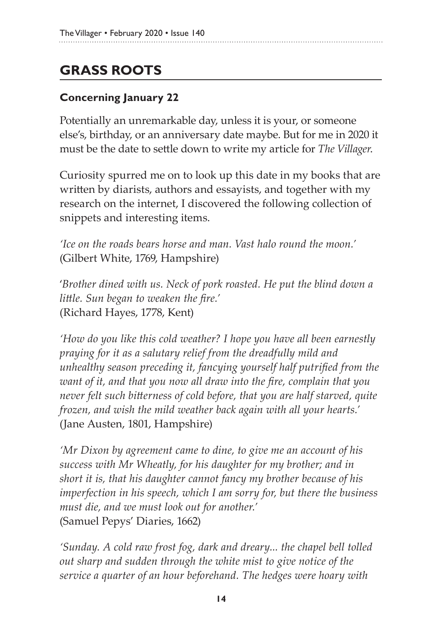## **GRASS ROOTS**

#### **Concerning January 22**

Potentially an unremarkable day, unless it is your, or someone else's, birthday, or an anniversary date maybe. But for me in 2020 it must be the date to settle down to write my article for *The Villager*.

Curiosity spurred me on to look up this date in my books that are written by diarists, authors and essayists, and together with my research on the internet, I discovered the following collection of snippets and interesting items.

*'Ice on the roads bears horse and man. Vast halo round the moon.'* (Gilbert White, 1769, Hampshire)

'*Brother dined with us. Neck of pork roasted. He put the blind down a little. Sun began to weaken the fire.'*  (Richard Hayes, 1778, Kent)

*'How do you like this cold weather? I hope you have all been earnestly praying for it as a salutary relief from the dreadfully mild and unhealthy season preceding it, fancying yourself half putrified from the want of it, and that you now all draw into the fire, complain that you never felt such bitterness of cold before, that you are half starved, quite frozen, and wish the mild weather back again with all your hearts.'* (Jane Austen, 1801, Hampshire)

*'Mr Dixon by agreement came to dine, to give me an account of his success with Mr Wheatly, for his daughter for my brother; and in short it is, that his daughter cannot fancy my brother because of his imperfection in his speech, which I am sorry for, but there the business must die, and we must look out for another.'* (Samuel Pepys' Diaries, 1662)

*'Sunday. A cold raw frost fog, dark and dreary... the chapel bell tolled out sharp and sudden through the white mist to give notice of the service a quarter of an hour beforehand. The hedges were hoary with*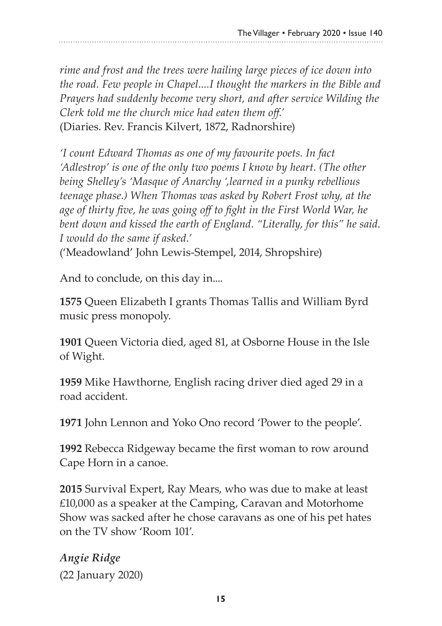*rime and frost and the trees were hailing large pieces of ice down into the road. Few people in Chapel....I thought the markers in the Bible and Prayers had suddenly become very short, and after service Wilding the Clerk told me the church mice had eaten them off.'* (Diaries. Rev. Francis Kilvert, 1872, Radnorshire)

*'I count Edward Thomas as one of my favourite poets. In fact 'Adlestrop' is one of the only two poems I know by heart. (The other being Shelley's 'Masque of Anarchy ',learned in a punky rebellious teenage phase.) When Thomas was asked by Robert Frost why, at the age of thirty five, he was going off to fight in the First World War, he bent down and kissed the earth of England. "Literally, for this" he said. I would do the same if asked.'*

('Meadowland' John Lewis-Stempel, 2014, Shropshire)

And to conclude, on this day in....

**1575** Queen Elizabeth I grants Thomas Tallis and William Byrd music press monopoly.

**1901** Queen Victoria died, aged 81, at Osborne House in the Isle of Wight.

**1959** Mike Hawthorne, English racing driver died aged 29 in a road accident.

**1971** John Lennon and Yoko Ono record 'Power to the people'.

**1992** Rebecca Ridgeway became the first woman to row around Cape Horn in a canoe.

**2015** Survival Expert, Ray Mears, who was due to make at least £10,000 as a speaker at the Camping, Caravan and Motorhome Show was sacked after he chose caravans as one of his pet hates on the TV show 'Room 101'.

*Angie Ridge*  (22 January 2020)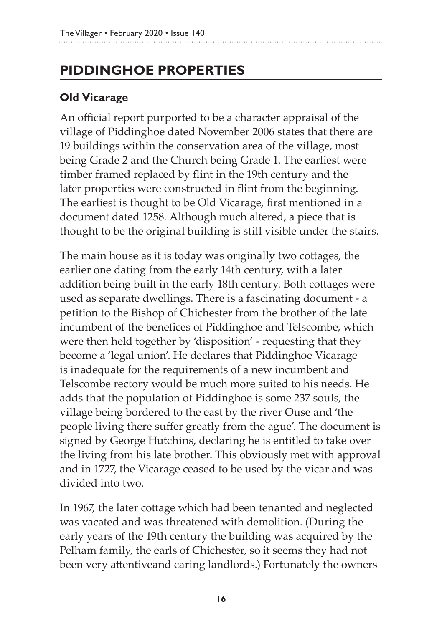## **Piddinghoe PROPERTIES**

#### **Old Vicarage**

An official report purported to be a character appraisal of the village of Piddinghoe dated November 2006 states that there are 19 buildings within the conservation area of the village, most being Grade 2 and the Church being Grade 1. The earliest were timber framed replaced by flint in the 19th century and the later properties were constructed in flint from the beginning. The earliest is thought to be Old Vicarage, first mentioned in a document dated 1258. Although much altered, a piece that is thought to be the original building is still visible under the stairs.

The main house as it is today was originally two cottages, the earlier one dating from the early 14th century, with a later addition being built in the early 18th century. Both cottages were used as separate dwellings. There is a fascinating document - a petition to the Bishop of Chichester from the brother of the late incumbent of the benefices of Piddinghoe and Telscombe, which were then held together by 'disposition' - requesting that they become a 'legal union'. He declares that Piddinghoe Vicarage is inadequate for the requirements of a new incumbent and Telscombe rectory would be much more suited to his needs. He adds that the population of Piddinghoe is some 237 souls, the village being bordered to the east by the river Ouse and 'the people living there suffer greatly from the ague'. The document is signed by George Hutchins, declaring he is entitled to take over the living from his late brother. This obviously met with approval and in 1727, the Vicarage ceased to be used by the vicar and was divided into two.

In 1967, the later cottage which had been tenanted and neglected was vacated and was threatened with demolition. (During the early years of the 19th century the building was acquired by the Pelham family, the earls of Chichester, so it seems they had not been very attentiveand caring landlords.) Fortunately the owners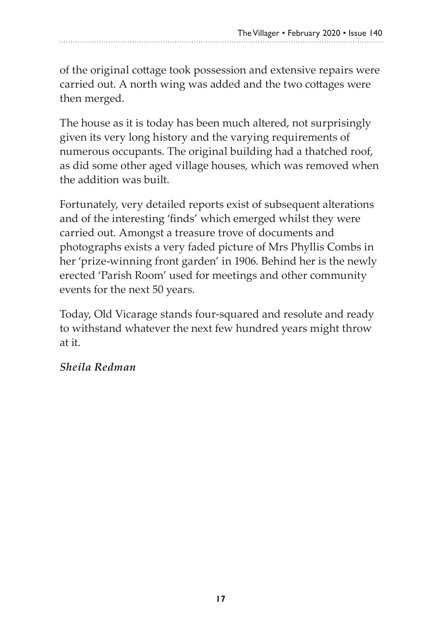of the original cottage took possession and extensive repairs were carried out. A north wing was added and the two cottages were then merged.

The house as it is today has been much altered, not surprisingly given its very long history and the varying requirements of numerous occupants. The original building had a thatched roof, as did some other aged village houses, which was removed when the addition was built.

Fortunately, very detailed reports exist of subsequent alterations and of the interesting 'finds' which emerged whilst they were carried out. Amongst a treasure trove of documents and photographs exists a very faded picture of Mrs Phyllis Combs in her 'prize-winning front garden' in 1906. Behind her is the newly erected 'Parish Room' used for meetings and other community events for the next 50 years.

Today, Old Vicarage stands four-squared and resolute and ready to withstand whatever the next few hundred years might throw at it.

#### *Sheila Redman*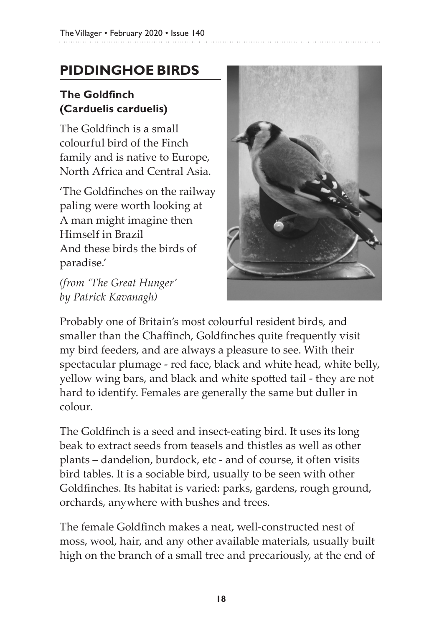## **PIDDINGHOE BIRDS**

#### **The Goldfinch (Carduelis carduelis)**

The Goldfinch is a small colourful bird of the Finch family and is native to Europe, North Africa and Central Asia.

'The Goldfinches on the railway paling were worth looking at A man might imagine then Himself in Brazil And these birds the birds of paradise.'

*(from 'The Great Hunger' by Patrick Kavanagh)*



Probably one of Britain's most colourful resident birds, and smaller than the Chaffinch, Goldfinches quite frequently visit my bird feeders, and are always a pleasure to see. With their spectacular plumage - red face, black and white head, white belly, yellow wing bars, and black and white spotted tail - they are not hard to identify. Females are generally the same but duller in colour.

The Goldfinch is a seed and insect-eating bird. It uses its long beak to extract seeds from teasels and thistles as well as other plants – dandelion, burdock, etc - and of course, it often visits bird tables. It is a sociable bird, usually to be seen with other Goldfinches. Its habitat is varied: parks, gardens, rough ground, orchards, anywhere with bushes and trees.

The female Goldfinch makes a neat, well-constructed nest of moss, wool, hair, and any other available materials, usually built high on the branch of a small tree and precariously, at the end of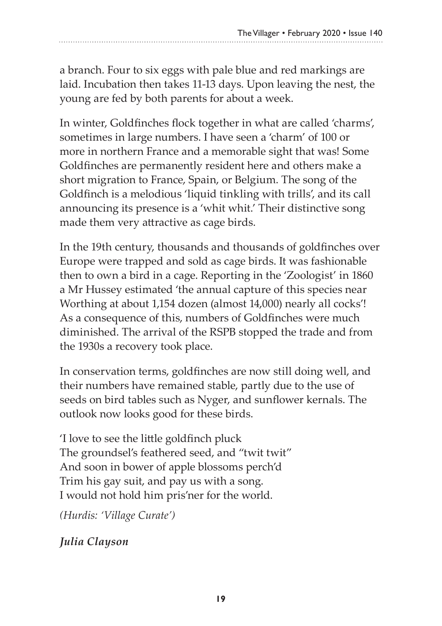a branch. Four to six eggs with pale blue and red markings are laid. Incubation then takes 11-13 days. Upon leaving the nest, the young are fed by both parents for about a week.

In winter, Goldfinches flock together in what are called 'charms', sometimes in large numbers. I have seen a 'charm' of 100 or more in northern France and a memorable sight that was! Some Goldfinches are permanently resident here and others make a short migration to France, Spain, or Belgium. The song of the Goldfinch is a melodious 'liquid tinkling with trills', and its call announcing its presence is a 'whit whit.' Their distinctive song made them very attractive as cage birds.

In the 19th century, thousands and thousands of goldfinches over Europe were trapped and sold as cage birds. It was fashionable then to own a bird in a cage. Reporting in the 'Zoologist' in 1860 a Mr Hussey estimated 'the annual capture of this species near Worthing at about 1,154 dozen (almost 14,000) nearly all cocks'! As a consequence of this, numbers of Goldfinches were much diminished. The arrival of the RSPB stopped the trade and from the 1930s a recovery took place.

In conservation terms, goldfinches are now still doing well, and their numbers have remained stable, partly due to the use of seeds on bird tables such as Nyger, and sunflower kernals. The outlook now looks good for these birds.

'I love to see the little goldfinch pluck The groundsel's feathered seed, and "twit twit" And soon in bower of apple blossoms perch'd Trim his gay suit, and pay us with a song. I would not hold him pris'ner for the world.

*(Hurdis: 'Village Curate')*

*Julia Clayson*